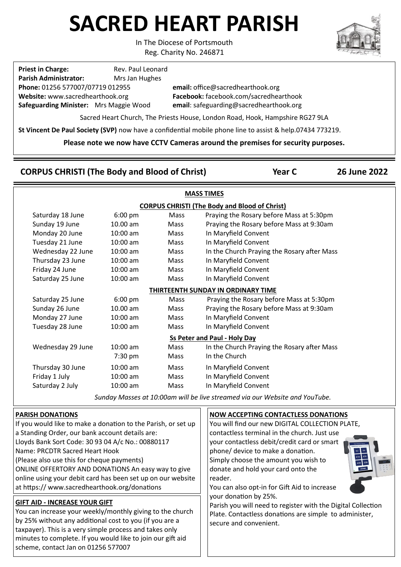# **SACRED HEART PARISH**

In The Diocese of Portsmouth

Reg. Charity No. 246871

**Priest in Charge:** Rev. Paul Leonard **Parish Administrator:** Mrs Jan Hughes **Phone:** 01256 577007/07719 012955 **email:** office@sacredhearthook.org **Website:** www.sacredhearthook.org **Facebook:** facebook.com/sacredhearthook **Safeguarding Minister:** Mrs Maggie Wood **email**: safeguarding@sacredhearthook.org

Sacred Heart Church, The Priests House, London Road, Hook, Hampshire RG27 9LA

**St Vincent De Paul Society (SVP)** now have a confidential mobile phone line to assist & help.07434 773219.

**Please note we now have CCTV Cameras around the premises for security purposes.**

# **CORPUS CHRISTI (The Body and Blood of Christ) Year C 26 June 2022**

| <b>MASS TIMES</b>                   |                                                               |            |      |                                                                             |  |
|-------------------------------------|---------------------------------------------------------------|------------|------|-----------------------------------------------------------------------------|--|
|                                     | <b>CORPUS CHRISTI (The Body and Blood of Christ)</b>          |            |      |                                                                             |  |
|                                     | Saturday 18 June                                              | 6:00 pm    | Mass | Praying the Rosary before Mass at 5:30pm                                    |  |
|                                     | Sunday 19 June                                                | 10.00 am   | Mass | Praying the Rosary before Mass at 9:30am                                    |  |
|                                     | Monday 20 June                                                | 10:00 am   | Mass | In Maryfield Convent                                                        |  |
|                                     | Tuesday 21 June                                               | 10:00 am   | Mass | In Maryfield Convent                                                        |  |
|                                     | Wednesday 22 June                                             | $10:00$ am | Mass | In the Church Praying the Rosary after Mass                                 |  |
|                                     | Thursday 23 June                                              | 10:00 am   | Mass | In Maryfield Convent                                                        |  |
|                                     | Friday 24 June                                                | $10:00$ am | Mass | In Maryfield Convent                                                        |  |
|                                     | Saturday 25 June                                              | 10:00 am   | Mass | In Maryfield Convent                                                        |  |
| THIRTEENTH SUNDAY IN ORDINARY TIME  |                                                               |            |      |                                                                             |  |
|                                     | Saturday 25 June                                              | $6:00$ pm  | Mass | Praying the Rosary before Mass at 5:30pm                                    |  |
|                                     | Sunday 26 June                                                | 10.00 am   | Mass | Praying the Rosary before Mass at 9:30am                                    |  |
|                                     | Monday 27 June                                                | $10:00$ am | Mass | In Maryfield Convent                                                        |  |
|                                     | Tuesday 28 June                                               | 10:00 am   | Mass | In Maryfield Convent                                                        |  |
| <b>Ss Peter and Paul - Holy Day</b> |                                                               |            |      |                                                                             |  |
|                                     | Wednesday 29 June                                             | $10:00$ am | Mass | In the Church Praying the Rosary after Mass                                 |  |
|                                     |                                                               | 7:30 pm    | Mass | In the Church                                                               |  |
|                                     | Thursday 30 June                                              | $10:00$ am | Mass | In Maryfield Convent                                                        |  |
|                                     | Friday 1 July                                                 | $10:00$ am | Mass | In Maryfield Convent                                                        |  |
|                                     | Saturday 2 July                                               | 10:00 am   | Mass | In Maryfield Convent                                                        |  |
|                                     |                                                               |            |      | Sunday Masses at 10:00am will be live streamed via our Website and YouTube. |  |
|                                     | <b>PARISH DONATIONS</b>                                       |            |      | <b>NOW ACCEPTING CONTACTLESS DONATIONS</b>                                  |  |
|                                     | If you would like to make a donation to the Parish, or set up |            |      | You will find our new DIGITAL COLLECTION PLATE,                             |  |
|                                     | a Standing Order, our bank account details are:               |            |      | contactless terminal in the church. Just use                                |  |
|                                     | Lloyds Bank Sort Code: 30 93 04 A/c No.: 00880117             |            |      | your contactless debit/credit card or smart                                 |  |
|                                     | Name: PRCDTR Sacred Heart Hook                                |            |      | phone/ device to make a donation.                                           |  |
|                                     | (Please also use this for cheque payments)                    |            |      | £10<br>Simply choose the amount you wish to<br>£50                          |  |

ONLINE OFFERTORY AND DONATIONS An easy way to give online using your debit card has been set up on our website at https:// www.sacredhearthook.org/donations

## **GIFT AID - INCREASE YOUR GIFT**

You can increase your weekly/monthly giving to the church by 25% without any additional cost to you (if you are a taxpayer). This is a very simple process and takes only minutes to complete. If you would like to join our gift aid scheme, contact Jan on 01256 577007

Simply choose the amount you wish to donate and hold your card onto the reader.



You can also opt-in for Gift Aid to increase your donation by 25%.

Parish you will need to register with the Digital Collection Plate. Contactless donations are simple to administer, secure and convenient.

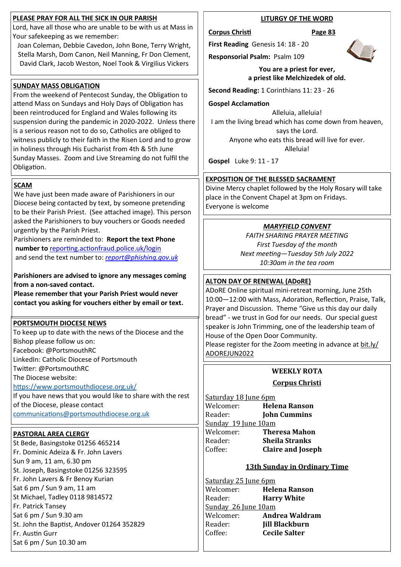## **PLEASE PRAY FOR ALL THE SICK IN OUR PARISH**

Lord, have all those who are unable to be with us at Mass in Your safekeeping as we remember:

Joan Coleman, Debbie Cavedon, John Bone, Terry Wright, Stella Marsh, Dom Canon, Neil Manning, Fr Don Clement, David Clark, Jacob Weston, Noel Took & Virgilius Vickers

## **SUNDAY MASS OBLIGATION**

From the weekend of Pentecost Sunday, the Obligation to attend Mass on Sundays and Holy Days of Obligation has been reintroduced for England and Wales following its suspension during the pandemic in 2020-2022. Unless there is a serious reason not to do so, Catholics are obliged to witness publicly to their faith in the Risen Lord and to grow in holiness through His Eucharist from 4th & 5th June Sunday Masses. Zoom and Live Streaming do not fulfil the Obligation.

## **SCAM**

We have just been made aware of Parishioners in our Diocese being contacted by text, by someone pretending to be their Parish Priest. (See attached image). This person asked the Parishioners to buy vouchers or Goods needed urgently by the Parish Priest.

Parishioners are reminded to: **Report the text Phone number to** reporting.actionfraud.police.uk/login and send the text number to: *[report@phishing.gov.uk](mailto:report@phishing.gov.uk)*

## **Parishioners are advised to ignore any messages coming from a non-saved contact.**

**Please remember that your Parish Priest would never contact you asking for vouchers either by email or text.**

## **PORTSMOUTH DIOCESE NEWS**

To keep up to date with the news of the Diocese and the Bishop please follow us on: Facebook: @PortsmouthRC LinkedIn: Catholic Diocese of Portsmouth Twitter: @PortsmouthRC The Diocese website: <https://www.portsmouthdiocese.org.uk/> If you have news that you would like to share with the rest

of the Diocese, please contact [communications@portsmouthdiocese.org.uk](mailto:communications@portsmouthdiocese.org.uk)

# **PASTORAL AREA CLERGY**

St Bede, Basingstoke 01256 465214 Fr. Dominic Adeiza & Fr. John Lavers Sun 9 am, 11 am, 6.30 pm St. Joseph, Basingstoke 01256 323595 Fr. John Lavers & Fr Benoy Kurian Sat 6 pm / Sun 9 am, 11 am St Michael, Tadley 0118 9814572 Fr. Patrick Tansey Sat 6 pm / Sun 9.30 am St. John the Baptist, Andover 01264 352829 Fr. Austin Gurr Sat 6 pm / Sun 10.30 am

## **LITURGY OF THE WORD**

#### **Corpus Christi Page 83**

**First Reading** Genesis 14: 18 - 20

**Responsorial Psalm:** Psalm 109



#### **You are a priest for ever, a priest like Melchizedek of old.**

**Second Reading:** 1 Corinthians 11: 23 - 26

**Gospel Acclamation**

Alleluia, alleluia! I am the living bread which has come down from heaven, says the Lord. Anyone who eats this bread will live for ever. Alleluia!

**Gospel** Luke 9: 11 - 17

## **EXPOSITION OF THE BLESSED SACRAMENT**

Divine Mercy chaplet followed by the Holy Rosary will take place in the Convent Chapel at 3pm on Fridays. Everyone is welcome

## *MARYFIELD CONVENT*

*FAITH SHARING PRAYER MEETING First Tuesday of the month Next meeting—Tuesday 5th July 2022 10:30am in the tea room*

## **ALTON DAY OF RENEWAL (ADoRE)**

ADoRE Online spiritual mini-retreat morning, June 25th 10:00—12:00 with Mass, Adoration, Reflection, Praise, Talk, Prayer and Discussion. Theme "Give us this day our daily bread" - we trust in God for our needs. Our special guest speaker is John Trimming, one of the leadership team of House of the Open Door Community.

Please register for the Zoom meeting in advance at bit.ly/ ADOREJUN2022

## **WEEKLY ROTA**

## **Corpus Christi**

Saturday 18 June 6pm Welcomer: **Helena Ranson** Reader: **John Cummins** Sunday 19 June 10am Welcomer: **Theresa Mahon** Reader: **Sheila Stranks** Coffee: **Claire and Joseph** 

## **13th Sunday in Ordinary Time**

Saturday 25 June 6pm Welcomer: **Helena Ranson** Reader: **Harry White** Sunday 26 June 10am Welcomer: **Andrea Waldram** Reader: **Jill Blackburn** Coffee: **Cecile Salter**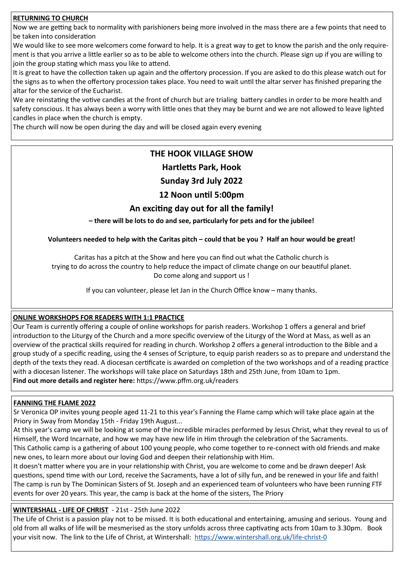## **RETURNING TO CHURCH**

Now we are getting back to normality with parishioners being more involved in the mass there are a few points that need to be taken into consideration

We would like to see more welcomers come forward to help. It is a great way to get to know the parish and the only requirement is that you arrive a little earlier so as to be able to welcome others into the church. Please sign up if you are willing to join the group stating which mass you like to attend.

It is great to have the collection taken up again and the offertory procession. If you are asked to do this please watch out for the signs as to when the offertory procession takes place. You need to wait until the altar server has finished preparing the altar for the service of the Eucharist.

We are reinstating the votive candles at the front of church but are trialing battery candles in order to be more health and safety conscious. It has always been a worry with little ones that they may be burnt and we are not allowed to leave lighted candles in place when the church is empty.

The church will now be open during the day and will be closed again every evening

## **THE HOOK VILLAGE SHOW**

## **Hartletts Park, Hook**

## **Sunday 3rd July 2022**

## **12 Noon until 5:00pm**

## **An exciting day out for all the family!**

**– there will be lots to do and see, particularly for pets and for the jubilee!**

**Volunteers needed to help with the Caritas pitch – could that be you ? Half an hour would be great!**

Caritas has a pitch at the Show and here you can find out what the Catholic church is trying to do across the country to help reduce the impact of climate change on our beautiful planet. Do come along and support us !

If you can volunteer, please let Jan in the Church Office know – many thanks.

## **ONLINE WORKSHOPS FOR READERS WITH 1:1 PRACTICE**

Our Team is currently offering a couple of online workshops for parish readers. Workshop 1 offers a general and brief introduction to the Liturgy of the Church and a more specific overview of the Liturgy of the Word at Mass, as well as an overview of the practical skills required for reading in church. Workshop 2 offers a general introduction to the Bible and a group study of a specific reading, using the 4 senses of Scripture, to equip parish readers so as to prepare and understand the depth of the texts they read. A diocesan certificate is awarded on completion of the two workshops and of a reading practice with a diocesan listener. The workshops will take place on Saturdays 18th and 25th June, from 10am to 1pm. **Find out more details and register here:** https://www.pffm.org.uk/readers

## **FANNING THE FLAME 2022**

Sr Veronica OP invites young people aged 11-21 to this year's Fanning the Flame camp which will take place again at the Priory in Sway from Monday 15th - Friday 19th August...

At this year's camp we will be looking at some of the incredible miracles performed by Jesus Christ, what they reveal to us of Himself, the Word Incarnate, and how we may have new life in Him through the celebration of the Sacraments.

This Catholic camp is a gathering of about 100 young people, who come together to re-connect with old friends and make new ones, to learn more about our loving God and deepen their relationship with Him.

It doesn't matter where you are in your relationship with Christ, you are welcome to come and be drawn deeper! Ask questions, spend time with our Lord, receive the Sacraments, have a lot of silly fun, and be renewed in your life and faith! The camp is run by The Dominican Sisters of St. Joseph and an experienced team of volunteers who have been running FTF events for over 20 years. This year, the camp is back at the home of the sisters, The Priory

## **WINTERSHALL - LIFE OF CHRIST** - 21st - 25th June 2022

The Life of Christ is a passion play not to be missed. It is both educational and entertaining, amusing and serious. Young and old from all walks of life will be mesmerised as the story unfolds across three captivating acts from 10am to 3.30pm. Book your visit now. The link to the Life of Christ, at Wintershall: [https://www.wintershall.org.uk/life](https://www.wintershall.org.uk/life-christ-0)-christ-0